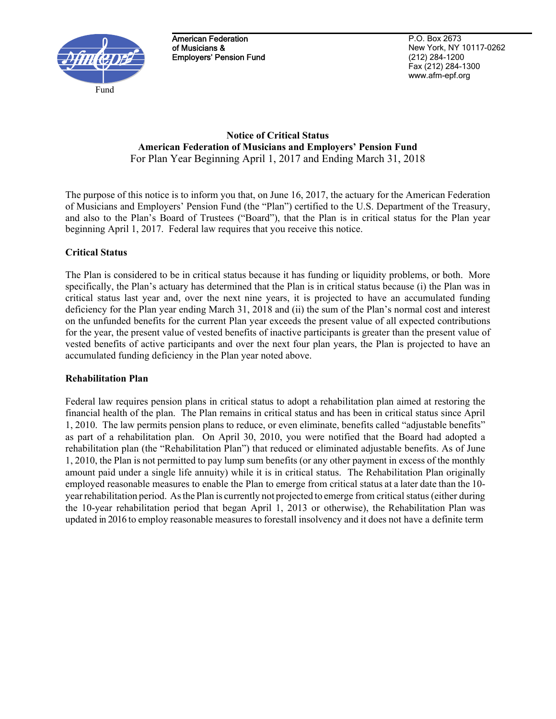

American Federation of Musicians & Employers' Pension Fund

P.O. Box 2673 New York, NY 10117-0262 (212) 284-1200 Fax (212) 284-1300 www.afm-epf.org

### **Notice of Critical Status American Federation of Musicians and Employers' Pension Fund**  For Plan Year Beginning April 1, 2017 and Ending March 31, 2018

The purpose of this notice is to inform you that, on June 16, 2017, the actuary for the American Federation of Musicians and Employers' Pension Fund (the "Plan") certified to the U.S. Department of the Treasury, and also to the Plan's Board of Trustees ("Board"), that the Plan is in critical status for the Plan year beginning April 1, 2017. Federal law requires that you receive this notice.

# **Critical Status**

The Plan is considered to be in critical status because it has funding or liquidity problems, or both. More specifically, the Plan's actuary has determined that the Plan is in critical status because (i) the Plan was in critical status last year and, over the next nine years, it is projected to have an accumulated funding deficiency for the Plan year ending March 31, 2018 and (ii) the sum of the Plan's normal cost and interest on the unfunded benefits for the current Plan year exceeds the present value of all expected contributions for the year, the present value of vested benefits of inactive participants is greater than the present value of vested benefits of active participants and over the next four plan years, the Plan is projected to have an accumulated funding deficiency in the Plan year noted above.

# **Rehabilitation Plan**

Federal law requires pension plans in critical status to adopt a rehabilitation plan aimed at restoring the financial health of the plan. The Plan remains in critical status and has been in critical status since April 1, 2010. The law permits pension plans to reduce, or even eliminate, benefits called "adjustable benefits" as part of a rehabilitation plan. On April 30, 2010, you were notified that the Board had adopted a rehabilitation plan (the "Rehabilitation Plan") that reduced or eliminated adjustable benefits. As of June 1, 2010, the Plan is not permitted to pay lump sum benefits (or any other payment in excess of the monthly amount paid under a single life annuity) while it is in critical status. The Rehabilitation Plan originally employed reasonable measures to enable the Plan to emerge from critical status at a later date than the 10 year rehabilitation period. As the Plan is currently not projected to emerge from critical status (either during the 10-year rehabilitation period that began April 1, 2013 or otherwise), the Rehabilitation Plan was updated in 2016 to employ reasonable measures to forestall insolvency and it does not have a definite term